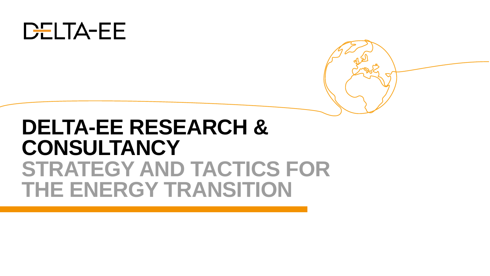

# **DELTA-EE RESEARCH & CONSULTANCY STRATEGY AND TACTICS FOR THE ENERGY TRANSITION**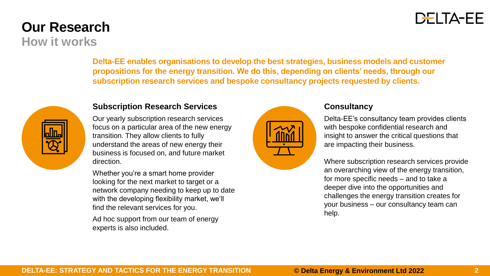### **DELTA-EE**

### **Our Research How it works**

**Delta-EE enables organisations to develop the best strategies, business models and customer propositions for the energy transition. We do this, depending on clients' needs, through our subscription research services and bespoke consultancy projects requested by clients.**



#### **Subscription Research Services**

Our yearly subscription research services focus on a particular area of the new energy transition. They allow clients to fully understand the areas of new energy their business is focused on, and future market direction.

Whether you're a smart home provider looking for the next market to target or a network company needing to keep up to date with the developing flexibility market, we'll find the relevant services for you.

Ad hoc support from our team of energy experts is also included.



#### **Consultancy**

Delta-EE's consultancy team provides clients with bespoke confidential research and insight to answer the critical questions that are impacting their business.

Where subscription research services provide an overarching view of the energy transition, for more specific needs – and to take a deeper dive into the opportunities and challenges the energy transition creates for your business – our consultancy team can help.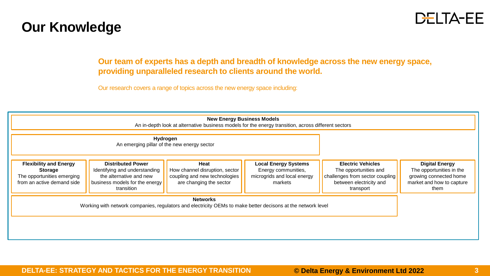### **Our Knowledge**



**Our team of experts has a depth and breadth of knowledge across the new energy space, providing unparalleled research to clients around the world.**

Our research covers a range of topics across the new energy space including:

| <b>New Energy Business Models</b><br>An in-depth look at alternative business models for the energy transition, across different sectors |                                                                                                                                      |                                                                                                    |                                                                                              |                                                                                                                              |                                                                                                                  |
|------------------------------------------------------------------------------------------------------------------------------------------|--------------------------------------------------------------------------------------------------------------------------------------|----------------------------------------------------------------------------------------------------|----------------------------------------------------------------------------------------------|------------------------------------------------------------------------------------------------------------------------------|------------------------------------------------------------------------------------------------------------------|
| Hydrogen<br>An emerging pillar of the new energy sector                                                                                  |                                                                                                                                      |                                                                                                    |                                                                                              |                                                                                                                              |                                                                                                                  |
| <b>Flexibility and Energy</b><br><b>Storage</b><br>The opportunities emerging<br>from an active demand side                              | <b>Distributed Power</b><br>Identifying and understanding<br>the alternative and new<br>business models for the energy<br>transition | Heat<br>How channel disruption, sector<br>coupling and new technologies<br>are changing the sector | <b>Local Energy Systems</b><br>Energy communities,<br>microgrids and local energy<br>markets | <b>Electric Vehicles</b><br>The opportunities and<br>challenges from sector coupling<br>between electricity and<br>transport | <b>Digital Energy</b><br>The opportunities in the<br>growing connected home<br>market and how to capture<br>them |
| <b>Networks</b><br>Working with network companies, regulators and electricity OEMs to make better decisons at the network level          |                                                                                                                                      |                                                                                                    |                                                                                              |                                                                                                                              |                                                                                                                  |
|                                                                                                                                          |                                                                                                                                      |                                                                                                    |                                                                                              |                                                                                                                              |                                                                                                                  |

**DELTA-EE: STRATEGY AND TACTICS FOR THE ENERGY TRANSITION © Delta Energy & Environment Ltd 2022**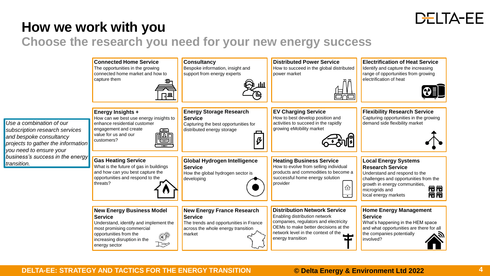

### **How we work with you**

*transition.*

**Choose the research you need for your new energy success**

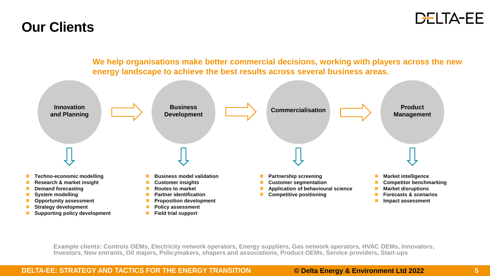### DELTA-EE

### **Our Clients**



**Example clients: Controls OEMs, Electricity network operators, Energy suppliers, Gas network operators, HVAC OEMs, Innovators,** 

**Investors, New entrants, Oil majors, Policymakers, shapers and associations, Product OEMs, Service providers, Start-ups**

◼ **Supporting policy development**

#### **DELTA-EE: STRATEGY AND TACTICS FOR THE ENERGY TRANSITION © Delta Energy & Environment Ltd 2022**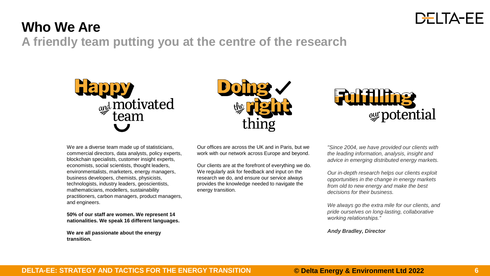

## **Who We Are**

**A friendly team putting you at the centre of the research**







We are a diverse team made up of statisticians, commercial directors, data analysts, policy experts, blockchain specialists, customer insight experts, economists, social scientists, thought leaders, environmentalists, marketers, energy managers, business developers, chemists, physicists, technologists, industry leaders, geoscientists, mathematicians, modellers, sustainability practitioners, carbon managers, product managers, and engineers.

**50% of our staff are women. We represent 14 nationalities. We speak 16 different languages.**

**We are all passionate about the energy transition.**

Our offices are across the UK and in Paris, but we work with our network across Europe and beyond.

Our clients are at the forefront of everything we do. We regularly ask for feedback and input on the research we do, and ensure our service always provides the knowledge needed to navigate the energy transition.

*"Since 2004, we have provided our clients with the leading information, analysis, insight and advice in emerging distributed energy markets.*

*Our in-depth research helps our clients exploit opportunities in the change in energy markets from old to new energy and make the best decisions for their business.*

*We always go the extra mile for our clients, and pride ourselves on long-lasting, collaborative working relationships."*

*Andy Bradley, Director*